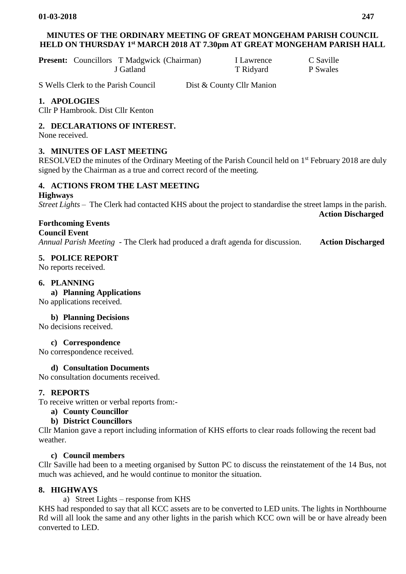# **MINUTES OF THE ORDINARY MEETING OF GREAT MONGEHAM PARISH COUNCIL HELD ON THURSDAY 1 st MARCH 2018 AT 7.30pm AT GREAT MONGEHAM PARISH HALL**

**Present:** Councillors T Madgwick (Chairman) I Lawrence C Saville J Gatland T Ridyard P Swales

S Wells Clerk to the Parish Council Dist & County Cllr Manion

# **1. APOLOGIES**

Cllr P Hambrook. Dist Cllr Kenton

## **2. DECLARATIONS OF INTEREST.**

None received.

## **3. MINUTES OF LAST MEETING**

RESOLVED the minutes of the Ordinary Meeting of the Parish Council held on 1<sup>st</sup> February 2018 are duly signed by the Chairman as a true and correct record of the meeting*.*

#### **4. ACTIONS FROM THE LAST MEETING**

**Highways**

*Street Lights –* The Clerk had contacted KHS about the project to standardise the street lamps in the parish. **Action Discharged**

# **Forthcoming Events**

**Council Event**

*Annual Parish Meeting -* The Clerk had produced a draft agenda for discussion. **Action Discharged**

## **5. POLICE REPORT**

No reports received.

## **6. PLANNING**

**a) Planning Applications** 

No applications received.

#### **b) Planning Decisions**

No decisions received.

**c) Correspondence**

No correspondence received.

#### **d) Consultation Documents**

No consultation documents received.

#### **7. REPORTS**

To receive written or verbal reports from:-

#### **a) County Councillor**

#### **b) District Councillors**

Cllr Manion gave a report including information of KHS efforts to clear roads following the recent bad weather.

#### **c) Council members**

Cllr Saville had been to a meeting organised by Sutton PC to discuss the reinstatement of the 14 Bus, not much was achieved, and he would continue to monitor the situation.

#### **8. HIGHWAYS**

a) Street Lights – response from KHS

KHS had responded to say that all KCC assets are to be converted to LED units. The lights in Northbourne Rd will all look the same and any other lights in the parish which KCC own will be or have already been converted to LED.